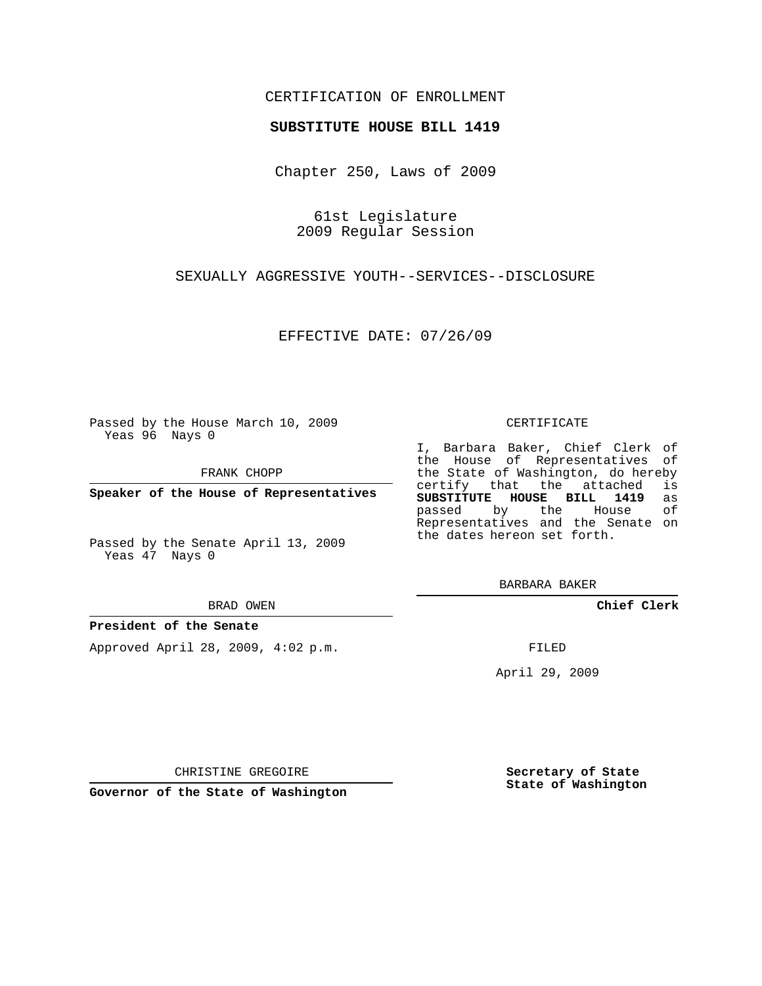### CERTIFICATION OF ENROLLMENT

#### **SUBSTITUTE HOUSE BILL 1419**

Chapter 250, Laws of 2009

61st Legislature 2009 Regular Session

SEXUALLY AGGRESSIVE YOUTH--SERVICES--DISCLOSURE

EFFECTIVE DATE: 07/26/09

Passed by the House March 10, 2009 Yeas 96 Nays 0

FRANK CHOPP

**Speaker of the House of Representatives**

Passed by the Senate April 13, 2009 Yeas 47 Nays 0

#### BRAD OWEN

#### **President of the Senate**

Approved April 28, 2009, 4:02 p.m.

#### CERTIFICATE

I, Barbara Baker, Chief Clerk of the House of Representatives of the State of Washington, do hereby<br>certify that the attached is **SUBSTITUTE HOUSE BILL 1419** as passed by the Representatives and the Senate on the dates hereon set forth.

BARBARA BAKER

**Chief Clerk**

FILED

April 29, 2009

**Secretary of State State of Washington**

**Governor of the State of Washington**

CHRISTINE GREGOIRE

certify that the attached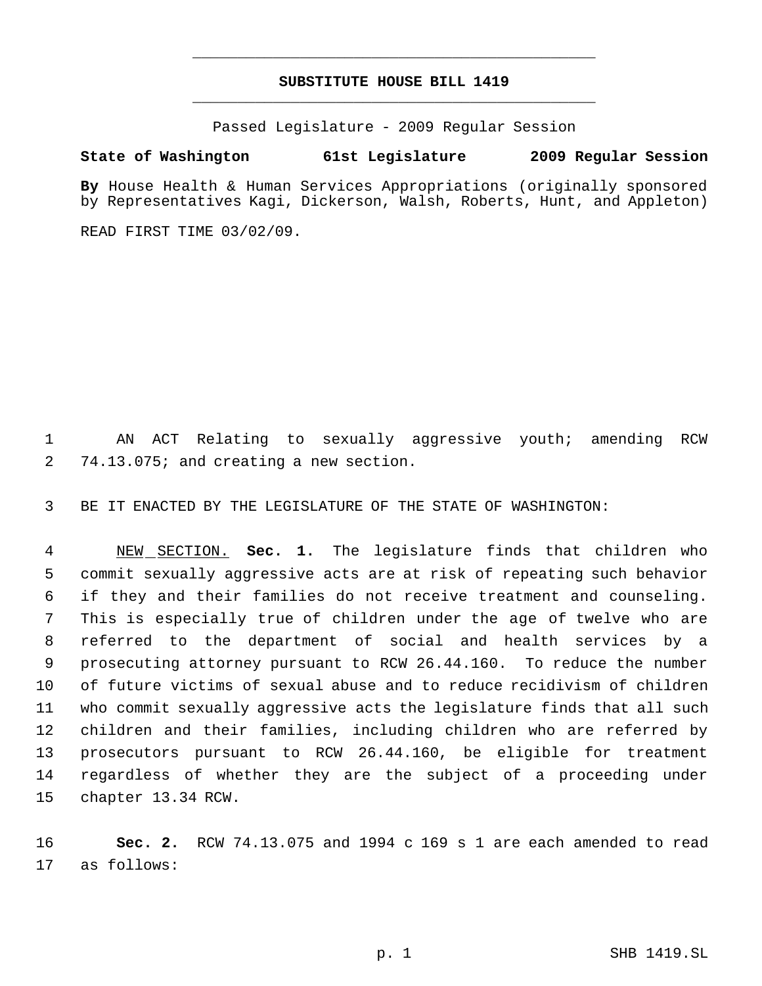## **SUBSTITUTE HOUSE BILL 1419** \_\_\_\_\_\_\_\_\_\_\_\_\_\_\_\_\_\_\_\_\_\_\_\_\_\_\_\_\_\_\_\_\_\_\_\_\_\_\_\_\_\_\_\_\_

\_\_\_\_\_\_\_\_\_\_\_\_\_\_\_\_\_\_\_\_\_\_\_\_\_\_\_\_\_\_\_\_\_\_\_\_\_\_\_\_\_\_\_\_\_

Passed Legislature - 2009 Regular Session

## **State of Washington 61st Legislature 2009 Regular Session**

**By** House Health & Human Services Appropriations (originally sponsored by Representatives Kagi, Dickerson, Walsh, Roberts, Hunt, and Appleton)

READ FIRST TIME 03/02/09.

 AN ACT Relating to sexually aggressive youth; amending RCW 74.13.075; and creating a new section.

BE IT ENACTED BY THE LEGISLATURE OF THE STATE OF WASHINGTON:

 NEW SECTION. **Sec. 1.** The legislature finds that children who commit sexually aggressive acts are at risk of repeating such behavior if they and their families do not receive treatment and counseling. This is especially true of children under the age of twelve who are referred to the department of social and health services by a prosecuting attorney pursuant to RCW 26.44.160. To reduce the number of future victims of sexual abuse and to reduce recidivism of children who commit sexually aggressive acts the legislature finds that all such children and their families, including children who are referred by prosecutors pursuant to RCW 26.44.160, be eligible for treatment regardless of whether they are the subject of a proceeding under chapter 13.34 RCW.

 **Sec. 2.** RCW 74.13.075 and 1994 c 169 s 1 are each amended to read as follows: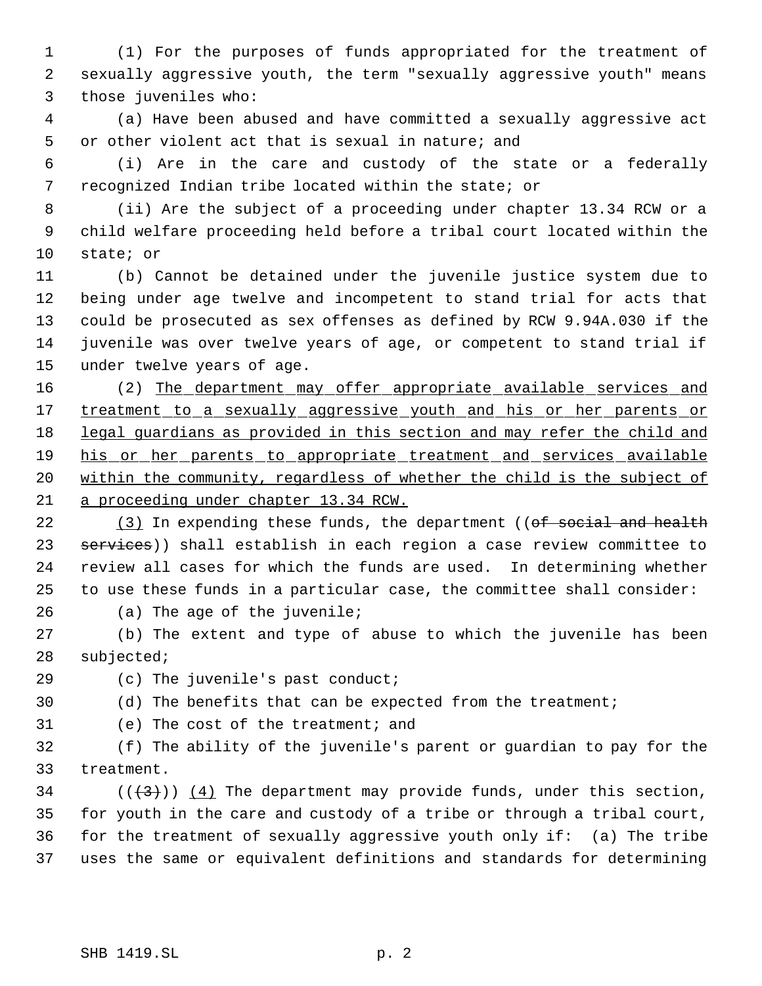(1) For the purposes of funds appropriated for the treatment of sexually aggressive youth, the term "sexually aggressive youth" means those juveniles who:

 (a) Have been abused and have committed a sexually aggressive act or other violent act that is sexual in nature; and

 (i) Are in the care and custody of the state or a federally recognized Indian tribe located within the state; or

 (ii) Are the subject of a proceeding under chapter 13.34 RCW or a child welfare proceeding held before a tribal court located within the state; or

 (b) Cannot be detained under the juvenile justice system due to being under age twelve and incompetent to stand trial for acts that could be prosecuted as sex offenses as defined by RCW 9.94A.030 if the juvenile was over twelve years of age, or competent to stand trial if under twelve years of age.

16 (2) The department may offer appropriate available services and 17 treatment to a sexually aggressive youth and his or her parents or legal guardians as provided in this section and may refer the child and 19 his or her parents to appropriate treatment and services available within the community, regardless of whether the child is the subject of a proceeding under chapter 13.34 RCW.

22 (3) In expending these funds, the department ((of social and health 23 services)) shall establish in each region a case review committee to review all cases for which the funds are used. In determining whether to use these funds in a particular case, the committee shall consider:

(a) The age of the juvenile;

 (b) The extent and type of abuse to which the juvenile has been subjected;

29 (c) The juvenile's past conduct;

(d) The benefits that can be expected from the treatment;

(e) The cost of the treatment; and

 (f) The ability of the juvenile's parent or guardian to pay for the treatment.

34 ( $(\langle 3 \rangle)$ ) (4) The department may provide funds, under this section, for youth in the care and custody of a tribe or through a tribal court, for the treatment of sexually aggressive youth only if: (a) The tribe uses the same or equivalent definitions and standards for determining